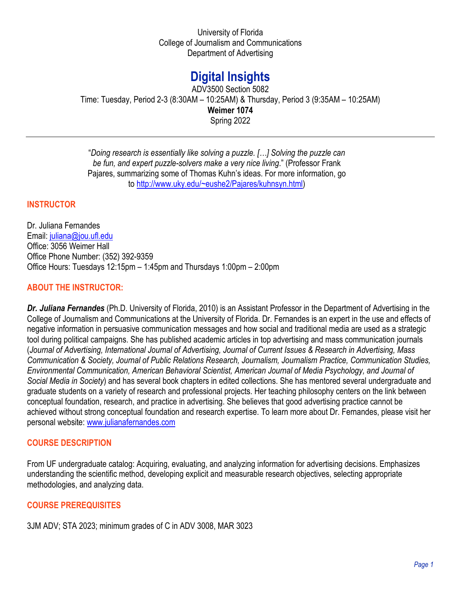University of Florida College of Journalism and Communications Department of Advertising

# **Digital Insights**

ADV3500 Section 5082 Time: Tuesday, Period 2-3 (8:30AM – 10:25AM) & Thursday, Period 3 (9:35AM – 10:25AM) **Weimer 1074** Spring 2022

"*Doing research is essentially like solving a puzzle. […] Solving the puzzle can be fun, and expert puzzle-solvers make a very nice living*." (Professor Frank Pajares, summarizing some of Thomas Kuhn's ideas. For more information, go to [http://www.uky.edu/~eushe2/Pajares/kuhnsyn.html\)](http://www.uky.edu/%7Eeushe2/Pajares/kuhnsyn.html)

## **INSTRUCTOR**

Dr. Juliana Fernandes Email: [juliana@jou.ufl.edu](mailto:juliana@jou.ufl.edu) Office: 3056 Weimer Hall Office Phone Number: (352) 392-9359 Office Hours: Tuesdays 12:15pm – 1:45pm and Thursdays 1:00pm – 2:00pm

## **ABOUT THE INSTRUCTOR:**

*Dr. Juliana Fernandes* (Ph.D. University of Florida, 2010) is an Assistant Professor in the Department of Advertising in the College of Journalism and Communications at the University of Florida. Dr. Fernandes is an expert in the use and effects of negative information in persuasive communication messages and how social and traditional media are used as a strategic tool during political campaigns. She has published academic articles in top advertising and mass communication journals (*Journal of Advertising, International Journal of Advertising, Journal of Current Issues & Research in Advertising, Mass Communication & Society, Journal of Public Relations Research, Journalism, Journalism Practice, Communication Studies, Environmental Communication, American Behavioral Scientist, American Journal of Media Psychology, and Journal of Social Media in Society*) and has several book chapters in edited collections. She has mentored several undergraduate and graduate students on a variety of research and professional projects. Her teaching philosophy centers on the link between conceptual foundation, research, and practice in advertising. She believes that good advertising practice cannot be achieved without strong conceptual foundation and research expertise. To learn more about Dr. Fernandes, please visit her personal website: [www.julianafernandes.com](http://www.julianafernandes.com/) 

#### **COURSE DESCRIPTION**

From UF undergraduate catalog: Acquiring, evaluating, and analyzing information for advertising decisions. Emphasizes understanding the scientific method, developing explicit and measurable research objectives, selecting appropriate methodologies, and analyzing data.

## **COURSE PREREQUISITES**

3JM ADV; STA 2023; minimum grades of C in ADV 3008, MAR 3023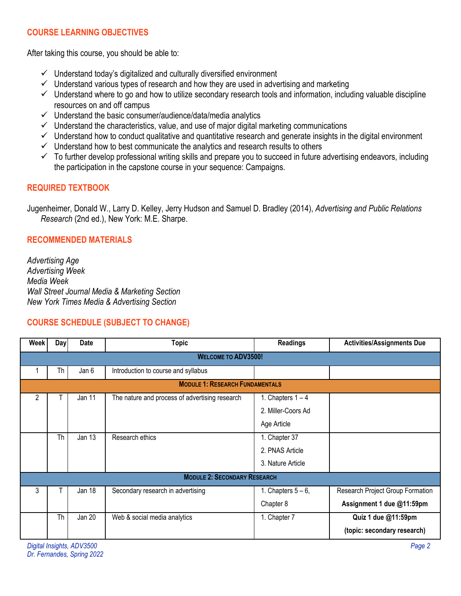# **COURSE LEARNING OBJECTIVES**

After taking this course, you should be able to:

- $\checkmark$  Understand today's digitalized and culturally diversified environment
- $\checkmark$  Understand various types of research and how they are used in advertising and marketing
- $\checkmark$  Understand where to go and how to utilize secondary research tools and information, including valuable discipline resources on and off campus
- $\checkmark$  Understand the basic consumer/audience/data/media analytics
- $\checkmark$  Understand the characteristics, value, and use of major digital marketing communications
- $\checkmark$  Understand how to conduct qualitative and quantitative research and generate insights in the digital environment
- $\checkmark$  Understand how to best communicate the analytics and research results to others
- $\checkmark$  To further develop professional writing skills and prepare you to succeed in future advertising endeavors, including the participation in the capstone course in your sequence: Campaigns.

## **REQUIRED TEXTBOOK**

Jugenheimer, Donald W., Larry D. Kelley, Jerry Hudson and Samuel D. Bradley (2014), *Advertising and Public Relations Research* (2nd ed.), New York: M.E. Sharpe.

## **RECOMMENDED MATERIALS**

*Advertising Age Advertising Week Media Week Wall Street Journal Media & Marketing Section New York Times Media & Advertising Section*

## **COURSE SCHEDULE (SUBJECT TO CHANGE)**

| <b>Week</b>                            | Day       | Date          | <b>Topic</b>                                   | <b>Readings</b>     | <b>Activities/Assignments Due</b> |  |
|----------------------------------------|-----------|---------------|------------------------------------------------|---------------------|-----------------------------------|--|
| <b>WELCOME TO ADV3500!</b>             |           |               |                                                |                     |                                   |  |
|                                        | Th        | Jan 6         | Introduction to course and syllabus            |                     |                                   |  |
| <b>MODULE 1: RESEARCH FUNDAMENTALS</b> |           |               |                                                |                     |                                   |  |
| 2                                      |           | Jan 11        | The nature and process of advertising research | 1. Chapters $1 - 4$ |                                   |  |
|                                        |           |               |                                                | 2. Miller-Coors Ad  |                                   |  |
|                                        |           |               |                                                | Age Article         |                                   |  |
|                                        | <b>Th</b> | Jan 13        | Research ethics                                | 1. Chapter 37       |                                   |  |
|                                        |           |               |                                                | 2. PNAS Article     |                                   |  |
|                                        |           |               |                                                | 3. Nature Article   |                                   |  |
| <b>MODULE 2: SECONDARY RESEARCH</b>    |           |               |                                                |                     |                                   |  |
| 3                                      |           | Jan 18        | Secondary research in advertising              | 1. Chapters $5-6$ , | Research Project Group Formation  |  |
|                                        |           |               |                                                | Chapter 8           | Assignment 1 due @11:59pm         |  |
|                                        | Th        | <b>Jan 20</b> | Web & social media analytics                   | 1. Chapter 7        | Quiz 1 due @11:59pm               |  |
|                                        |           |               |                                                |                     | (topic: secondary research)       |  |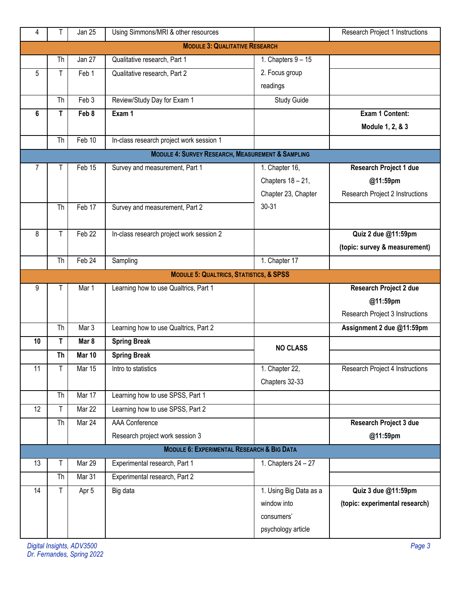| 4                                     | Τ                                                            | Jan 25            | Using Simmons/MRI & other resources                   |                        | Research Project 1 Instructions |  |  |
|---------------------------------------|--------------------------------------------------------------|-------------------|-------------------------------------------------------|------------------------|---------------------------------|--|--|
| <b>MODULE 3: QUALITATIVE RESEARCH</b> |                                                              |                   |                                                       |                        |                                 |  |  |
|                                       | Th                                                           | Jan 27            | Qualitative research, Part 1                          | 1. Chapters $9 - 15$   |                                 |  |  |
| 5                                     | т                                                            | Feb 1             | Qualitative research, Part 2                          | 2. Focus group         |                                 |  |  |
|                                       |                                                              |                   |                                                       | readings               |                                 |  |  |
|                                       | Th                                                           | Feb 3             | Review/Study Day for Exam 1                           | Study Guide            |                                 |  |  |
| 6                                     | Τ                                                            | Feb 8             | Exam 1                                                |                        | Exam 1 Content:                 |  |  |
|                                       |                                                              |                   |                                                       |                        | Module 1, 2, & 3                |  |  |
|                                       | Th                                                           | Feb 10            | In-class research project work session 1              |                        |                                 |  |  |
|                                       | <b>MODULE 4: SURVEY RESEARCH, MEASUREMENT &amp; SAMPLING</b> |                   |                                                       |                        |                                 |  |  |
| $\overline{7}$                        |                                                              | Feb 15            | Survey and measurement, Part 1                        | 1. Chapter 16,         | <b>Research Project 1 due</b>   |  |  |
|                                       |                                                              |                   |                                                       | Chapters 18 - 21,      | @11:59pm                        |  |  |
|                                       |                                                              |                   |                                                       | Chapter 23, Chapter    | Research Project 2 Instructions |  |  |
|                                       | Th                                                           | Feb 17            | Survey and measurement, Part 2                        | $30 - 31$              |                                 |  |  |
|                                       |                                                              |                   |                                                       |                        |                                 |  |  |
| 8                                     | т                                                            | Feb <sub>22</sub> | In-class research project work session 2              |                        | Quiz 2 due @11:59pm             |  |  |
|                                       |                                                              |                   |                                                       |                        | (topic: survey & measurement)   |  |  |
|                                       | Th                                                           | Feb 24            | Sampling                                              | 1. Chapter 17          |                                 |  |  |
|                                       |                                                              |                   | <b>MODULE 5: QUALTRICS, STATISTICS, &amp; SPSS</b>    |                        |                                 |  |  |
| 9                                     |                                                              | Mar 1             | Learning how to use Qualtrics, Part 1                 |                        | <b>Research Project 2 due</b>   |  |  |
|                                       |                                                              |                   |                                                       |                        | @11:59pm                        |  |  |
|                                       |                                                              |                   |                                                       |                        | Research Project 3 Instructions |  |  |
|                                       | Th                                                           | Mar 3             | Learning how to use Qualtrics, Part 2                 |                        | Assignment 2 due @11:59pm       |  |  |
| 10                                    | T                                                            | Mar 8             | <b>Spring Break</b>                                   | <b>NO CLASS</b>        |                                 |  |  |
|                                       | <b>Th</b>                                                    | Mar 10            | <b>Spring Break</b>                                   |                        |                                 |  |  |
| 11                                    | Τ                                                            | <b>Mar 15</b>     | Intro to statistics                                   | 1. Chapter 22,         | Research Project 4 Instructions |  |  |
|                                       |                                                              |                   |                                                       | Chapters 32-33         |                                 |  |  |
|                                       | Th                                                           | Mar 17            | Learning how to use SPSS, Part 1                      |                        |                                 |  |  |
| 12                                    | Τ                                                            | Mar 22            | Learning how to use SPSS, Part 2                      |                        |                                 |  |  |
|                                       | Th                                                           | Mar 24            | <b>AAA</b> Conference                                 |                        | Research Project 3 due          |  |  |
|                                       |                                                              |                   | Research project work session 3                       |                        | @11:59pm                        |  |  |
|                                       |                                                              |                   | <b>MODULE 6: EXPERIMENTAL RESEARCH &amp; BIG DATA</b> |                        |                                 |  |  |
| 13                                    | Τ                                                            | Mar 29            | Experimental research, Part 1                         | 1. Chapters $24 - 27$  |                                 |  |  |
|                                       | Th                                                           | Mar 31            | Experimental research, Part 2                         |                        |                                 |  |  |
| 14                                    | Τ                                                            | Apr 5             | Big data                                              | 1. Using Big Data as a | Quiz 3 due @11:59pm             |  |  |
|                                       |                                                              |                   |                                                       | window into            | (topic: experimental research)  |  |  |
|                                       |                                                              |                   |                                                       | consumers'             |                                 |  |  |
|                                       |                                                              |                   |                                                       | psychology article     |                                 |  |  |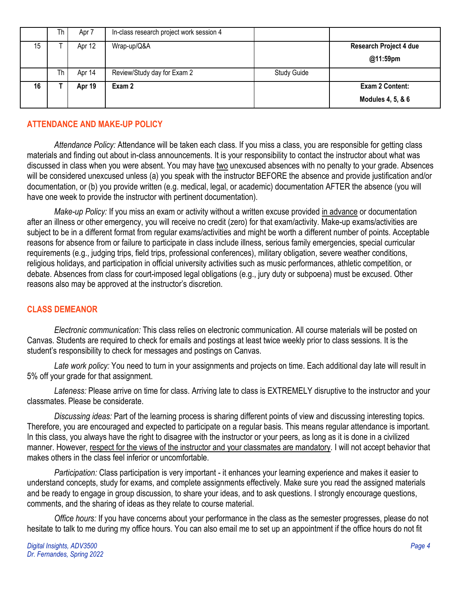|    | Th | Apr 7  | In-class research project work session 4 |             |                               |
|----|----|--------|------------------------------------------|-------------|-------------------------------|
| 15 |    | Apr 12 | Wrap-up/Q&A                              |             | <b>Research Project 4 due</b> |
|    |    |        |                                          |             | @11:59pm                      |
|    | Th | Apr 14 | Review/Study day for Exam 2              | Study Guide |                               |
| 16 |    | Apr 19 | Exam 2                                   |             | Exam 2 Content:               |
|    |    |        |                                          |             | Modules 4, 5, & 6             |

## **ATTENDANCE AND MAKE-UP POLICY**

*Attendance Policy:* Attendance will be taken each class. If you miss a class, you are responsible for getting class materials and finding out about in-class announcements. It is your responsibility to contact the instructor about what was discussed in class when you were absent. You may have two unexcused absences with no penalty to your grade. Absences will be considered unexcused unless (a) you speak with the instructor BEFORE the absence and provide justification and/or documentation, or (b) you provide written (e.g. medical, legal, or academic) documentation AFTER the absence (you will have one week to provide the instructor with pertinent documentation).

*Make-up Policy:* If you miss an exam or activity without a written excuse provided in advance or documentation after an illness or other emergency, you will receive no credit (zero) for that exam/activity. Make-up exams/activities are subject to be in a different format from regular exams/activities and might be worth a different number of points. Acceptable reasons for absence from or failure to participate in class include illness, serious family emergencies, special curricular requirements (e.g., judging trips, field trips, professional conferences), military obligation, severe weather conditions, religious holidays, and participation in official university activities such as music performances, athletic competition, or debate. Absences from class for court-imposed legal obligations (e.g., jury duty or subpoena) must be excused. Other reasons also may be approved at the instructor's discretion.

## **CLASS DEMEANOR**

*Electronic communication:* This class relies on electronic communication. All course materials will be posted on Canvas. Students are required to check for emails and postings at least twice weekly prior to class sessions. It is the student's responsibility to check for messages and postings on Canvas.

*Late work policy:* You need to turn in your assignments and projects on time. Each additional day late will result in 5% off your grade for that assignment.

*Lateness:* Please arrive on time for class. Arriving late to class is EXTREMELY disruptive to the instructor and your classmates. Please be considerate.

*Discussing ideas:* Part of the learning process is sharing different points of view and discussing interesting topics. Therefore, you are encouraged and expected to participate on a regular basis. This means regular attendance is important. In this class, you always have the right to disagree with the instructor or your peers, as long as it is done in a civilized manner. However, respect for the views of the instructor and your classmates are mandatory. I will not accept behavior that makes others in the class feel inferior or uncomfortable.

*Participation:* Class participation is very important - it enhances your learning experience and makes it easier to understand concepts, study for exams, and complete assignments effectively. Make sure you read the assigned materials and be ready to engage in group discussion, to share your ideas, and to ask questions. I strongly encourage questions, comments, and the sharing of ideas as they relate to course material.

*Office hours:* If you have concerns about your performance in the class as the semester progresses, please do not hesitate to talk to me during my office hours. You can also email me to set up an appointment if the office hours do not fit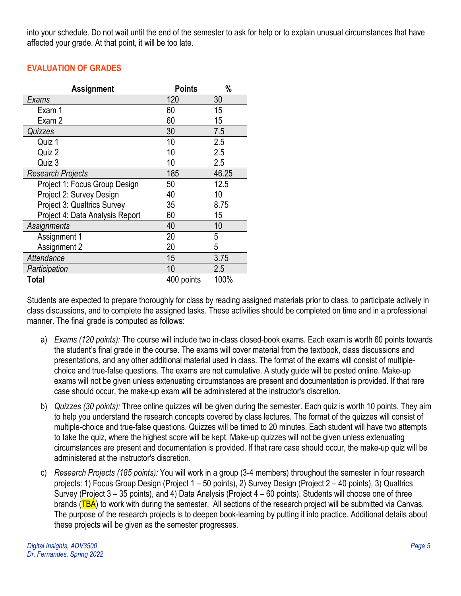into your schedule. Do not wait until the end of the semester to ask for help or to explain unusual circumstances that have affected your grade. At that point, it will be too late.

# **EVALUATION OF GRADES**

| <b>Assignment</b>                  | <b>Points</b> | %     |
|------------------------------------|---------------|-------|
| Exams                              | 120           | 30    |
| Exam 1                             | 60            | 15    |
| Exam 2                             | 60            | 15    |
| Quizzes                            | 30            | 7.5   |
| Quiz 1                             | 10            | 2.5   |
| Quiz 2                             | 10            | 2.5   |
| Quiz 3                             | 10            | 2.5   |
| <b>Research Projects</b>           | 185           | 46.25 |
| Project 1: Focus Group Design      | 50            | 12.5  |
| Project 2: Survey Design           | 40            | 10    |
| <b>Project 3: Qualtrics Survey</b> | 35            | 8.75  |
| Project 4: Data Analysis Report    | 60            | 15    |
| Assignments                        | 40            | 10    |
| Assignment 1                       | 20            | 5     |
| Assignment 2                       | 20            | 5     |
| Attendance                         | 15            | 3.75  |
| Participation                      | 10            | 2.5   |
| Total                              | 400 points    | 100%  |

Students are expected to prepare thoroughly for class by reading assigned materials prior to class, to participate actively in class discussions, and to complete the assigned tasks. These activities should be completed on time and in a professional manner. The final grade is computed as follows:

- a) *Exams (120 points):* The course will include two in-class closed-book exams. Each exam is worth 60 points towards the student's final grade in the course. The exams will cover material from the textbook, class discussions and presentations, and any other additional material used in class. The format of the exams will consist of multiplechoice and true-false questions. The exams are not cumulative. A study guide will be posted online. Make-up exams will not be given unless extenuating circumstances are present and documentation is provided. If that rare case should occur, the make-up exam will be administered at the instructor's discretion.
- b) *Quizzes (30 points):* Three online quizzes will be given during the semester. Each quiz is worth 10 points. They aim to help you understand the research concepts covered by class lectures. The format of the quizzes will consist of multiple-choice and true-false questions. Quizzes will be timed to 20 minutes. Each student will have two attempts to take the quiz, where the highest score will be kept. Make-up quizzes will not be given unless extenuating circumstances are present and documentation is provided. If that rare case should occur, the make-up quiz will be administered at the instructor's discretion.
- c) *Research Projects (185 points):* You will work in a group (3-4 members) throughout the semester in four research projects: 1) Focus Group Design (Project 1 – 50 points), 2) Survey Design (Project 2 – 40 points), 3) Qualtrics Survey (Project 3 – 35 points), and 4) Data Analysis (Project 4 – 60 points). Students will choose one of three brands (TBA) to work with during the semester. All sections of the research project will be submitted via Canvas. The purpose of the research projects is to deepen book-learning by putting it into practice. Additional details about these projects will be given as the semester progresses.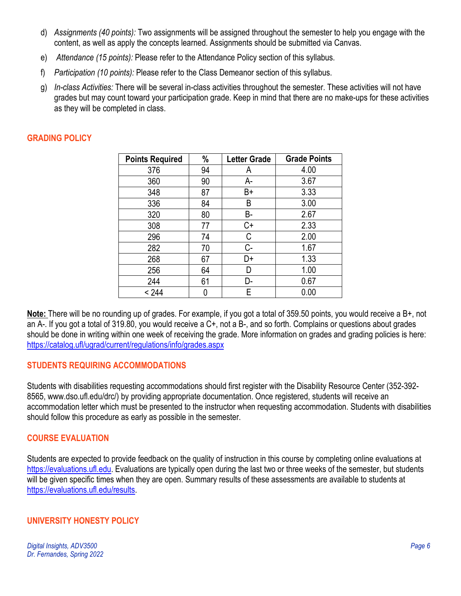- d) *Assignments (40 points):* Two assignments will be assigned throughout the semester to help you engage with the content, as well as apply the concepts learned. Assignments should be submitted via Canvas.
- e) *Attendance (15 points):* Please refer to the Attendance Policy section of this syllabus.
- f) *Participation (10 points):* Please refer to the Class Demeanor section of this syllabus.
- g) *In-class Activities:* There will be several in-class activities throughout the semester. These activities will not have grades but may count toward your participation grade. Keep in mind that there are no make-ups for these activities as they will be completed in class.

# **GRADING POLICY**

| <b>Points Required</b> | $\frac{0}{0}$ | <b>Letter Grade</b> | <b>Grade Points</b> |
|------------------------|---------------|---------------------|---------------------|
| 376                    | 94            | A                   | 4.00                |
| 360                    | 90            | А-                  | 3.67                |
| 348                    | 87            | B+                  | 3.33                |
| 336                    | 84            | B                   | 3.00                |
| 320                    | 80            | B-                  | 2.67                |
| 308                    | 77            | C+                  | 2.33                |
| 296                    | 74            | С                   | 2.00                |
| 282                    | 70            | C-                  | 1.67                |
| 268                    | 67            | D+                  | 1.33                |
| 256                    | 64            | D                   | 1.00                |
| 244                    | 61            | D-                  | 0.67                |
| < 244                  |               | Е                   | 0.00                |

**Note:** There will be no rounding up of grades. For example, if you got a total of 359.50 points, you would receive a B+, not an A-. If you got a total of 319.80, you would receive a C+, not a B-, and so forth. Complains or questions about grades should be done in writing within one week of receiving the grade. More information on grades and grading policies is here: <https://catalog.ufl/ugrad/current/regulations/info/grades.aspx>

## **STUDENTS REQUIRING ACCOMMODATIONS**

Students with disabilities requesting accommodations should first register with the Disability Resource Center (352-392- 8565, www.dso.ufl.edu/drc/) by providing appropriate documentation. Once registered, students will receive an accommodation letter which must be presented to the instructor when requesting accommodation. Students with disabilities should follow this procedure as early as possible in the semester.

## **COURSE EVALUATION**

Students are expected to provide feedback on the quality of instruction in this course by completing online evaluations at [https://evaluations.ufl.edu.](https://evaluations.ufl.edu/) Evaluations are typically open during the last two or three weeks of the semester, but students will be given specific times when they are open. Summary results of these assessments are available to students at [https://evaluations.ufl.edu/results.](https://evaluations.ufl.edu/results)

## **UNIVERSITY HONESTY POLICY**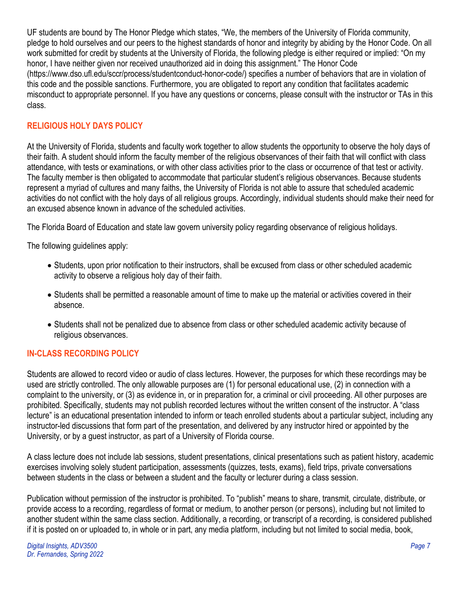UF students are bound by The Honor Pledge which states, "We, the members of the University of Florida community, pledge to hold ourselves and our peers to the highest standards of honor and integrity by abiding by the Honor Code. On all work submitted for credit by students at the University of Florida, the following pledge is either required or implied: "On my honor, I have neither given nor received unauthorized aid in doing this assignment." The Honor Code (https://www.dso.ufl.edu/sccr/process/studentconduct-honor-code/) specifies a number of behaviors that are in violation of this code and the possible sanctions. Furthermore, you are obligated to report any condition that facilitates academic misconduct to appropriate personnel. If you have any questions or concerns, please consult with the instructor or TAs in this class.

## **RELIGIOUS HOLY DAYS POLICY**

At the University of Florida, students and faculty work together to allow students the opportunity to observe the holy days of their faith. A student should inform the faculty member of the religious observances of their faith that will conflict with class attendance, with tests or examinations, or with other class activities prior to the class or occurrence of that test or activity. The faculty member is then obligated to accommodate that particular student's religious observances. Because students represent a myriad of cultures and many faiths, the University of Florida is not able to assure that scheduled academic activities do not conflict with the holy days of all religious groups. Accordingly, individual students should make their need for an excused absence known in advance of the scheduled activities.

The Florida Board of Education and state law govern university policy regarding observance of religious holidays.

The following guidelines apply:

- Students, upon prior notification to their instructors, shall be excused from class or other scheduled academic activity to observe a religious holy day of their faith.
- Students shall be permitted a reasonable amount of time to make up the material or activities covered in their absence.
- Students shall not be penalized due to absence from class or other scheduled academic activity because of religious observances.

## **IN-CLASS RECORDING POLICY**

Students are allowed to record video or audio of class lectures. However, the purposes for which these recordings may be used are strictly controlled. The only allowable purposes are (1) for personal educational use, (2) in connection with a complaint to the university, or (3) as evidence in, or in preparation for, a criminal or civil proceeding. All other purposes are prohibited. Specifically, students may not publish recorded lectures without the written consent of the instructor. A "class lecture" is an educational presentation intended to inform or teach enrolled students about a particular subject, including any instructor-led discussions that form part of the presentation, and delivered by any instructor hired or appointed by the University, or by a guest instructor, as part of a University of Florida course.

A class lecture does not include lab sessions, student presentations, clinical presentations such as patient history, academic exercises involving solely student participation, assessments (quizzes, tests, exams), field trips, private conversations between students in the class or between a student and the faculty or lecturer during a class session.

Publication without permission of the instructor is prohibited. To "publish" means to share, transmit, circulate, distribute, or provide access to a recording, regardless of format or medium, to another person (or persons), including but not limited to another student within the same class section. Additionally, a recording, or transcript of a recording, is considered published if it is posted on or uploaded to, in whole or in part, any media platform, including but not limited to social media, book,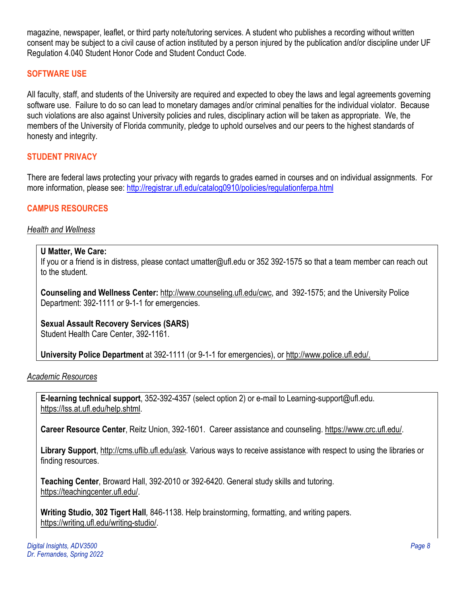magazine, newspaper, leaflet, or third party note/tutoring services. A student who publishes a recording without written consent may be subject to a civil cause of action instituted by a person injured by the publication and/or discipline under UF Regulation 4.040 Student Honor Code and Student Conduct Code.

## **SOFTWARE USE**

All faculty, staff, and students of the University are required and expected to obey the laws and legal agreements governing software use. Failure to do so can lead to monetary damages and/or criminal penalties for the individual violator. Because such violations are also against University policies and rules, disciplinary action will be taken as appropriate. We, the members of the University of Florida community, pledge to uphold ourselves and our peers to the highest standards of honesty and integrity.

## **STUDENT PRIVACY**

There are federal laws protecting your privacy with regards to grades earned in courses and on individual assignments. For more information, please see: <http://registrar.ufl.edu/catalog0910/policies/regulationferpa.html>

## **CAMPUS RESOURCES**

#### *Health and Wellness*

#### **U Matter, We Care:**

If you or a friend is in distress, please contact umatter@ufl.edu or 352 392-1575 so that a team member can reach out to the student.

**Counseling and Wellness Center:** [http://www.counseling.ufl.edu/cwc,](http://www.counseling.ufl.edu/cwc) and 392-1575; and the University Police Department: 392-1111 or 9-1-1 for emergencies.

## **Sexual Assault Recovery Services (SARS)**

Student Health Care Center, 392-1161.

**University Police Department** at 392-1111 (or 9-1-1 for emergencies), or [http://www.police.ufl.edu/.](http://www.police.ufl.edu/)

*Academic Resources*

**E-learning technical support**, 352-392-4357 (select option 2) or e-mail to Learning-support@ufl.edu. [https://lss.at.ufl.edu/help.shtml.](https://lss.at.ufl.edu/help.shtml)

**Career Resource Center**, Reitz Union, 392-1601. Career assistance and counseling. [https://www.crc.ufl.edu/.](https://www.crc.ufl.edu/)

**Library Support**, [http://cms.uflib.ufl.edu/ask.](http://cms.uflib.ufl.edu/ask) Various ways to receive assistance with respect to using the libraries or finding resources.

**Teaching Center**, Broward Hall, 392-2010 or 392-6420. General study skills and tutoring. [https://teachingcenter.ufl.edu/.](https://teachingcenter.ufl.edu/)

**Writing Studio, 302 Tigert Hall***,* 846-1138. Help brainstorming, formatting, and writing papers. [https://writing.ufl.edu/writing-studio/.](https://writing.ufl.edu/writing-studio/)